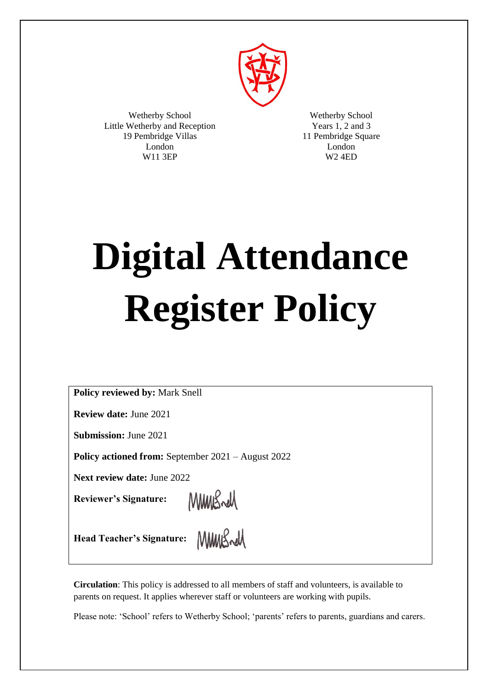

Wetherby School Little Wetherby and Reception 19 Pembridge Villas London W11 3EP

Wetherby School Years 1, 2 and 3 11 Pembridge Square London W2 4ED

# **Digital Attendance Register Policy**

**Policy reviewed by:** Mark Snell

**Review date:** June 2021

**Submission:** June 2021

**Policy actioned from:** September 2021 – August 2022

**Next review date:** June 2022

**Reviewer's Signature:**

MMBrd

MMMBrell

**Head Teacher's Signature:**

**Circulation**: This policy is addressed to all members of staff and volunteers, is available to parents on request. It applies wherever staff or volunteers are working with pupils.

Please note: 'School' refers to Wetherby School; 'parents' refers to parents, guardians and carers.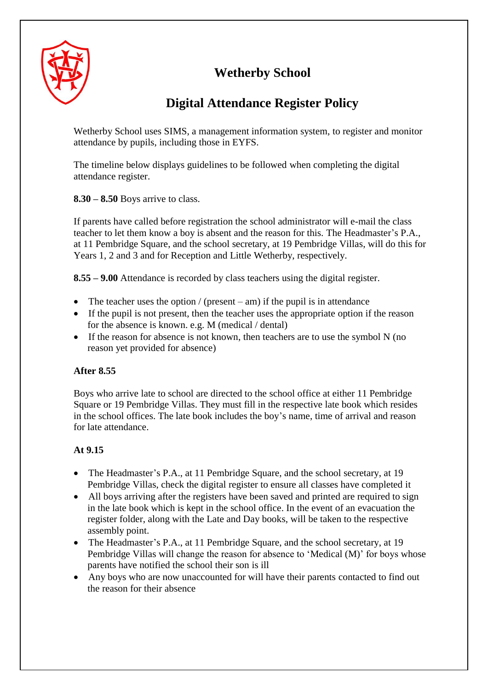# **Wetherby School**



# **Digital Attendance Register Policy**

Wetherby School uses SIMS, a management information system, to register and monitor attendance by pupils, including those in EYFS.

The timeline below displays guidelines to be followed when completing the digital attendance register.

**8.30 – 8.50** Boys arrive to class.

If parents have called before registration the school administrator will e-mail the class teacher to let them know a boy is absent and the reason for this. The Headmaster's P.A., at 11 Pembridge Square, and the school secretary, at 19 Pembridge Villas, will do this for Years 1, 2 and 3 and for Reception and Little Wetherby, respectively.

**8.55 – 9.00** Attendance is recorded by class teachers using the digital register.

- The teacher uses the option / (present am) if the pupil is in attendance
- If the pupil is not present, then the teacher uses the appropriate option if the reason for the absence is known. e.g. M (medical / dental)
- If the reason for absence is not known, then teachers are to use the symbol  $N$  (no reason yet provided for absence)

## **After 8.55**

Boys who arrive late to school are directed to the school office at either 11 Pembridge Square or 19 Pembridge Villas. They must fill in the respective late book which resides in the school offices. The late book includes the boy's name, time of arrival and reason for late attendance.

# **At 9.15**

- The Headmaster's P.A., at 11 Pembridge Square, and the school secretary, at 19 Pembridge Villas, check the digital register to ensure all classes have completed it
- All boys arriving after the registers have been saved and printed are required to sign in the late book which is kept in the school office. In the event of an evacuation the register folder, along with the Late and Day books, will be taken to the respective assembly point.
- The Headmaster's P.A., at 11 Pembridge Square, and the school secretary, at 19 Pembridge Villas will change the reason for absence to 'Medical (M)' for boys whose parents have notified the school their son is ill
- Any boys who are now unaccounted for will have their parents contacted to find out the reason for their absence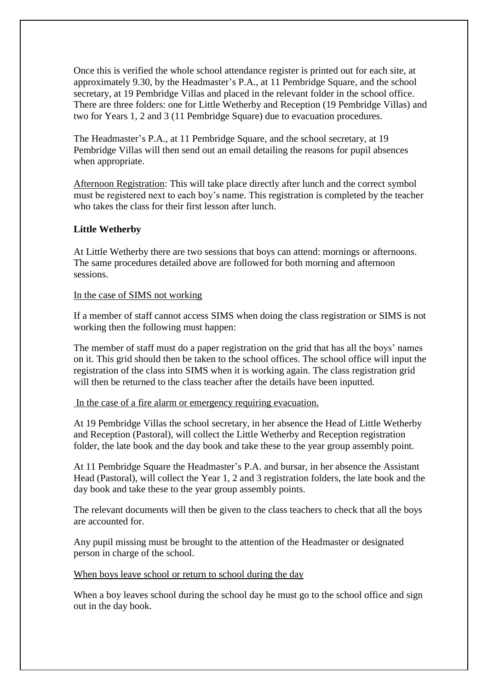Once this is verified the whole school attendance register is printed out for each site, at approximately 9.30, by the Headmaster's P.A., at 11 Pembridge Square, and the school secretary, at 19 Pembridge Villas and placed in the relevant folder in the school office. There are three folders: one for Little Wetherby and Reception (19 Pembridge Villas) and two for Years 1, 2 and 3 (11 Pembridge Square) due to evacuation procedures.

The Headmaster's P.A., at 11 Pembridge Square, and the school secretary, at 19 Pembridge Villas will then send out an email detailing the reasons for pupil absences when appropriate.

Afternoon Registration: This will take place directly after lunch and the correct symbol must be registered next to each boy's name. This registration is completed by the teacher who takes the class for their first lesson after lunch.

### **Little Wetherby**

At Little Wetherby there are two sessions that boys can attend: mornings or afternoons. The same procedures detailed above are followed for both morning and afternoon sessions.

#### In the case of SIMS not working

If a member of staff cannot access SIMS when doing the class registration or SIMS is not working then the following must happen:

The member of staff must do a paper registration on the grid that has all the boys' names on it. This grid should then be taken to the school offices. The school office will input the registration of the class into SIMS when it is working again. The class registration grid will then be returned to the class teacher after the details have been inputted.

In the case of a fire alarm or emergency requiring evacuation.

At 19 Pembridge Villas the school secretary, in her absence the Head of Little Wetherby and Reception (Pastoral), will collect the Little Wetherby and Reception registration folder, the late book and the day book and take these to the year group assembly point.

At 11 Pembridge Square the Headmaster's P.A. and bursar, in her absence the Assistant Head (Pastoral), will collect the Year 1, 2 and 3 registration folders, the late book and the day book and take these to the year group assembly points.

The relevant documents will then be given to the class teachers to check that all the boys are accounted for.

Any pupil missing must be brought to the attention of the Headmaster or designated person in charge of the school.

When boys leave school or return to school during the day

When a boy leaves school during the school day he must go to the school office and sign out in the day book.